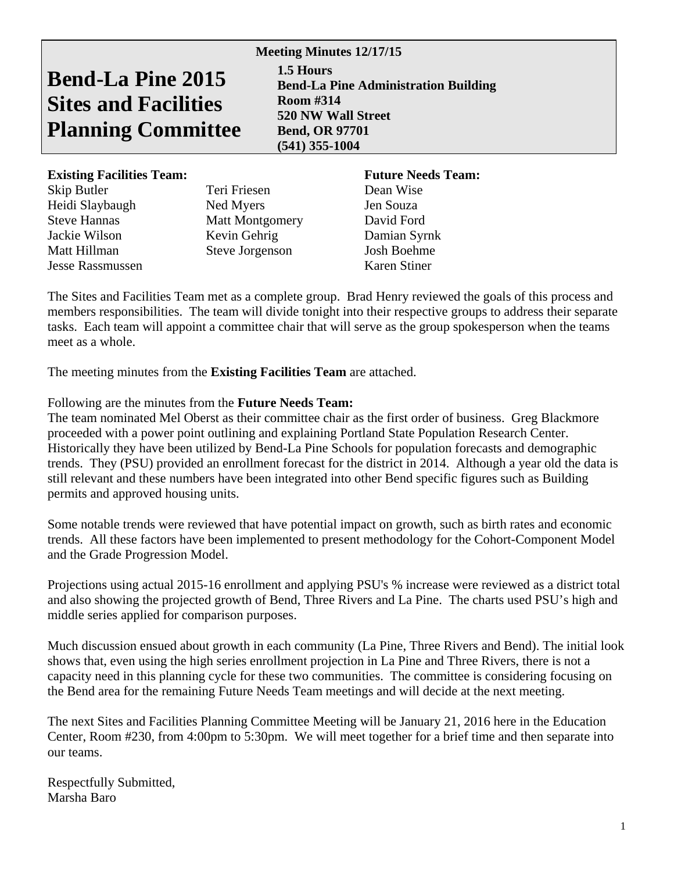# **Bend-La Pine 2015 Sites and Facilities Planning Committee**

**Meeting Minutes 12/17/15 1.5 Hours Bend-La Pine Administration Building Room #314 520 NW Wall Street Bend, OR 97701 (541) 355-1004** 

# **Existing Facilities Team:** Future Needs Team:

| Skip Butler             | Teri Friesen    |
|-------------------------|-----------------|
| Heidi Slaybaugh         | Ned Myers       |
| <b>Steve Hannas</b>     | Matt Montgome   |
| Jackie Wilson           | Kevin Gehrig    |
| Matt Hillman            | Steve Jorgenson |
| <b>Jesse Rassmussen</b> |                 |

Dean Wise Jen Souza ery David Ford Damian Syrnk n Josh Boehme Karen Stiner

The Sites and Facilities Team met as a complete group. Brad Henry reviewed the goals of this process and members responsibilities. The team will divide tonight into their respective groups to address their separate tasks. Each team will appoint a committee chair that will serve as the group spokesperson when the teams meet as a whole.

The meeting minutes from the **Existing Facilities Team** are attached.

# Following are the minutes from the **Future Needs Team:**

The team nominated Mel Oberst as their committee chair as the first order of business. Greg Blackmore proceeded with a power point outlining and explaining Portland State Population Research Center. Historically they have been utilized by Bend-La Pine Schools for population forecasts and demographic trends. They (PSU) provided an enrollment forecast for the district in 2014. Although a year old the data is still relevant and these numbers have been integrated into other Bend specific figures such as Building permits and approved housing units.

Some notable trends were reviewed that have potential impact on growth, such as birth rates and economic trends. All these factors have been implemented to present methodology for the Cohort-Component Model and the Grade Progression Model.

Projections using actual 2015-16 enrollment and applying PSU's % increase were reviewed as a district total and also showing the projected growth of Bend, Three Rivers and La Pine. The charts used PSU's high and middle series applied for comparison purposes.

Much discussion ensued about growth in each community (La Pine, Three Rivers and Bend). The initial look shows that, even using the high series enrollment projection in La Pine and Three Rivers, there is not a capacity need in this planning cycle for these two communities. The committee is considering focusing on the Bend area for the remaining Future Needs Team meetings and will decide at the next meeting.

The next Sites and Facilities Planning Committee Meeting will be January 21, 2016 here in the Education Center, Room #230, from 4:00pm to 5:30pm. We will meet together for a brief time and then separate into our teams.

Respectfully Submitted, Marsha Baro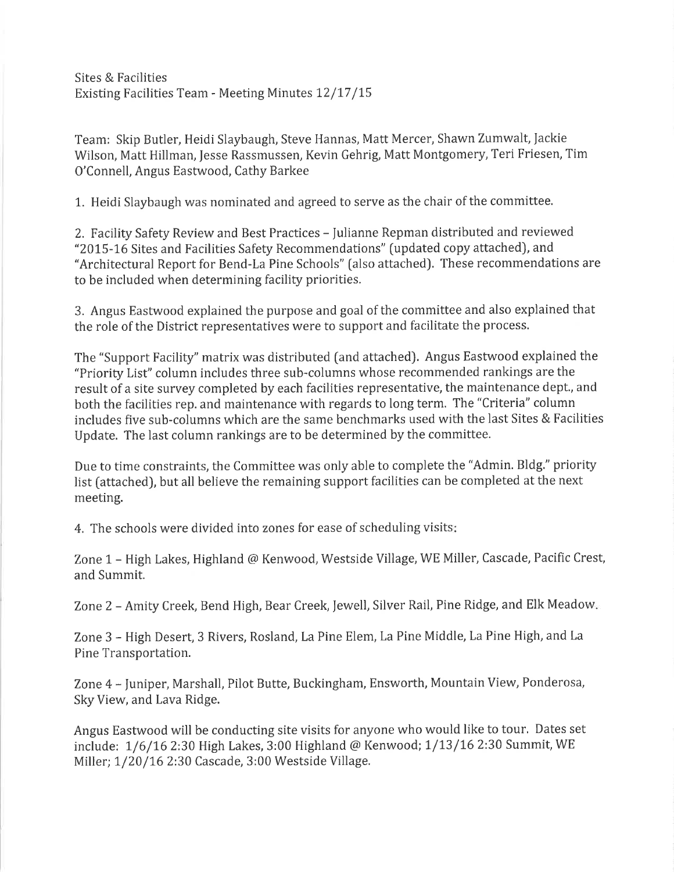Sites & Facilities Existing Facilities Team - Meeting Minutes 12/17/15

Team: Skip Butler, Heidi Slaybaugh, Steve Hannas, Matt Mercer, Shawn Zumwalt, Jackie Wilson, Matt Hillman, Jesse Rassmussen, Kevin Gehrig, Matt Montgomery, Teri Friesen, Tim O'Connell, Angus Eastwood, Cathy Barkee

1. Heidi Slaybaugh was nominated and agreed to serve as the chair of the committee.

2. Facility Safety Review and Best Practices - Julianne Repman distributed and reviewed "2015-16 Sites and Facilities Safety Recommendations" (updated copy attached), and "Architectural Report for Bend-La Pine Schools" (also attached). These recommendations are to be included when determining facility priorities.

3. Angus Eastwood explained the purpose and goal of the committee and also explained that the role of the District representatives were to support and facilitate the process.

The "Support Facility" matrix was distributed (and attached). Angus Eastwood explained the "Priority List" column includes three sub-columns whose recommended rankings are the result of a site survey completed by each facilities representative, the maintenance dept., and both the facilities rep. and maintenance with regards to long term. The "Criteria" column includes five sub-columns which are the same benchmarks used with the last Sites & Facilities Update. The last column rankings are to be determined by the committee.

Due to time constraints, the Committee was only able to complete the "Admin. Bldg." priority list (attached), but all believe the remaining support facilities can be completed at the next meeting.

4. The schools were divided into zones for ease of scheduling visits:

Zone 1 - High Lakes, Highland @ Kenwood, Westside Village, WE Miller, Cascade, Pacific Crest, and Summit.

Zone 2 - Amity Creek, Bend High, Bear Creek, Jewell, Silver Rail, Pine Ridge, and Elk Meadow.

Zone 3 - High Desert, 3 Rivers, Rosland, La Pine Elem, La Pine Middle, La Pine High, and La Pine Transportation.

Zone 4 - Juniper, Marshall, Pilot Butte, Buckingham, Ensworth, Mountain View, Ponderosa, Sky View, and Lava Ridge.

Angus Eastwood will be conducting site visits for anyone who would like to tour. Dates set include: 1/6/16 2:30 High Lakes, 3:00 Highland @ Kenwood; 1/13/16 2:30 Summit, WE Miller; 1/20/16 2:30 Cascade, 3:00 Westside Village.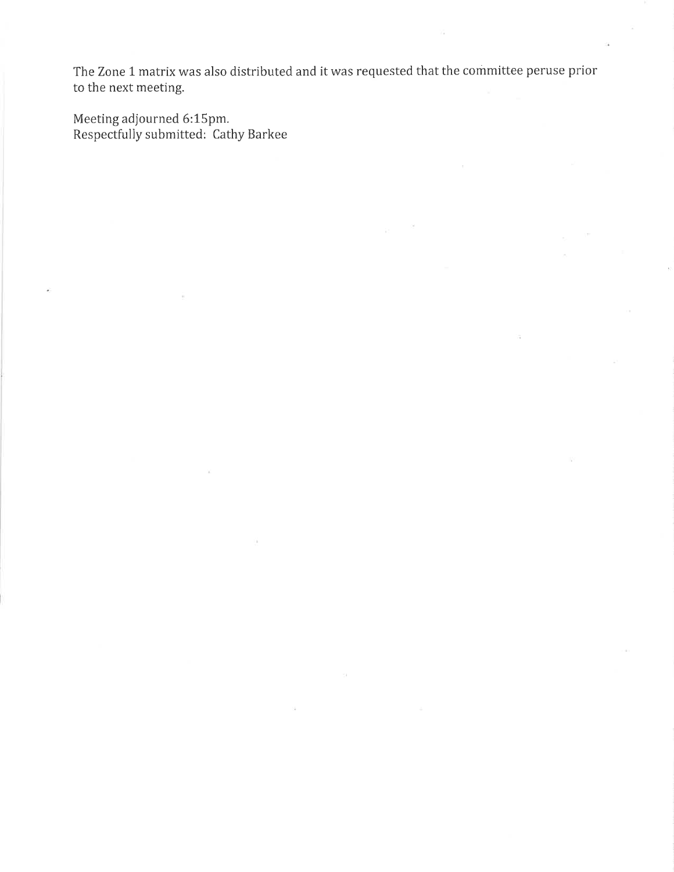The Zone 1 matrix was also distributed and it was requested that the committee peruse prior to the next meeting.

 $\bar{\Sigma}$ 

 $\overline{\mathcal{A}}$ 

Meeting adjourned 6:15pm.<br>Respectfully submitted: Cathy Barkee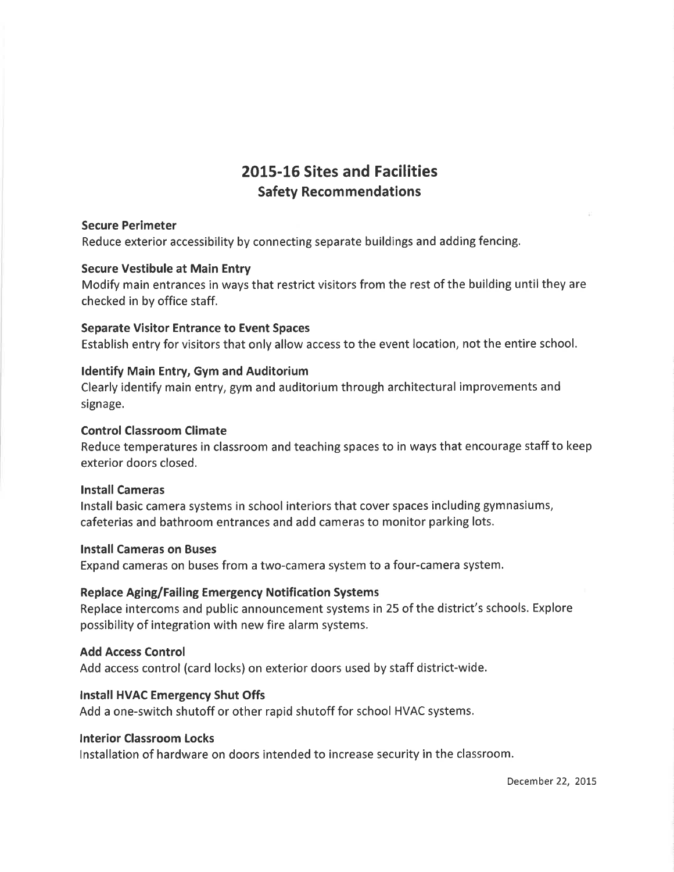# 2015-16 Sites and Facilities **Safety Recommendations**

### **Secure Perimeter**

Reduce exterior accessibility by connecting separate buildings and adding fencing.

#### **Secure Vestibule at Main Entry**

Modify main entrances in ways that restrict visitors from the rest of the building until they are checked in by office staff.

#### **Separate Visitor Entrance to Event Spaces**

Establish entry for visitors that only allow access to the event location, not the entire school.

#### **Identify Main Entry, Gym and Auditorium**

Clearly identify main entry, gym and auditorium through architectural improvements and signage.

#### **Control Classroom Climate**

Reduce temperatures in classroom and teaching spaces to in ways that encourage staff to keep exterior doors closed.

#### **Install Cameras**

Install basic camera systems in school interiors that cover spaces including gymnasiums, cafeterias and bathroom entrances and add cameras to monitor parking lots.

#### **Install Cameras on Buses**

Expand cameras on buses from a two-camera system to a four-camera system.

# **Replace Aging/Failing Emergency Notification Systems**

Replace intercoms and public announcement systems in 25 of the district's schools. Explore possibility of integration with new fire alarm systems.

# **Add Access Control**

Add access control (card locks) on exterior doors used by staff district-wide.

# Install HVAC Emergency Shut Offs

Add a one-switch shutoff or other rapid shutoff for school HVAC systems.

#### **Interior Classroom Locks**

Installation of hardware on doors intended to increase security in the classroom.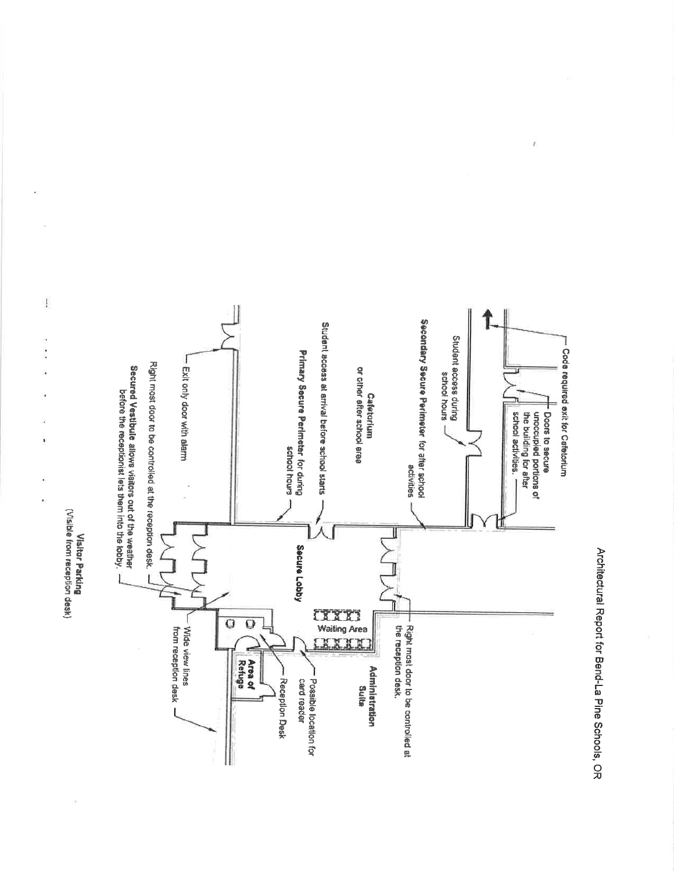Architectural Report for Bend-La Pine Schools, OR

Ï



 $\mathfrak l$ 

ı,

Ĵ

ï

Visitor Parking<br>(Visible from reception desk)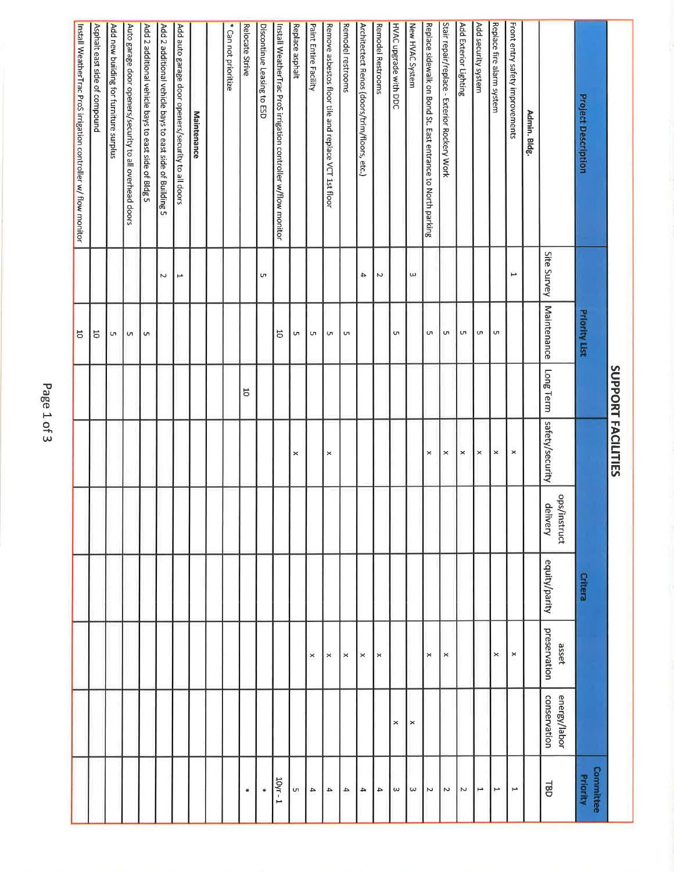|                                                                |          |                           |                         | SUPPORT FACILITIES |                          |                |                       |                              |                          |
|----------------------------------------------------------------|----------|---------------------------|-------------------------|--------------------|--------------------------|----------------|-----------------------|------------------------------|--------------------------|
| <b>Project Description</b>                                     |          | <b>Priority List</b>      |                         |                    |                          | <b>Critera</b> |                       |                              | Committee<br>Priority    |
|                                                                |          | Site Survey   Maintenance | Long Term               | safety/security    | ops/instruct<br>delivery | equity/parity  | preservation<br>asset | conservation<br>energy/labor | 릶                        |
| Admin. Bldg.                                                   |          |                           |                         |                    |                          |                |                       |                              |                          |
| -ront entry safety improvements                                | ₩        |                           |                         | $\pmb{\times}$     |                          |                | $\boldsymbol{\times}$ |                              | ⊢                        |
| Replace fire alarm system                                      |          | сп                        |                         | $\pmb{\times}$     |                          |                | ×                     |                              | $\overline{\phantom{a}}$ |
| Add security system                                            |          | UR                        |                         | $\mathbf{\times}$  |                          |                |                       |                              | F                        |
| Add Exterior Lighting                                          |          | UП                        |                         | $\times$           |                          |                |                       |                              | Z                        |
| Stair repair/replace - Exterior Rockery Work                   |          | UП                        |                         | $\times$           |                          |                | $\pmb{\times}$        |                              | Z                        |
| Replace sidewalk on Bond St. East entrance to North parking    |          | C                         |                         | ×                  |                          |                | $\times$              |                              | N                        |
| New HVAC System                                                | $\omega$ |                           |                         |                    |                          |                |                       | $\times$                     | $\omega$                 |
| HVAC upgrade with DDC                                          |          | <b>u</b>                  |                         |                    |                          |                |                       | $\times$                     | $\omega$                 |
| <b>Remodel Restrooms</b>                                       | $\sim$   |                           |                         |                    |                          |                | $\times$              |                              | $\rightarrow$            |
| Architectect Renos (doors/trim/floors, etc.)                   | 4        |                           |                         |                    |                          |                | $\times$              |                              | $\rightarrow$            |
| Remodel restrooms                                              |          | $\cup$                    |                         |                    |                          |                | $\times$              |                              | $\overline{\phantom{a}}$ |
| Remove asbestos floor tile and replace VCT 1st floor           |          | $\sigma$                  |                         | $\times$           |                          |                | $\,\times\,$          |                              | 4                        |
| Paint Entire Facility                                          |          | C                         |                         |                    |                          |                | ×                     |                              | 4                        |
| Replace asphalt                                                |          | U                         |                         | $\times$           |                          |                |                       |                              | Uп                       |
| Install WeatherTrac ProS irrigation controller w/flow monitor  |          | 5                         |                         |                    |                          |                |                       |                              | 10уг -                   |
| Discontinue Leasing to ESD                                     | UΠ       |                           |                         |                    |                          |                |                       |                              | ₩                        |
| Relocate Strive                                                |          |                           | $\overline{\mathrm{o}}$ |                    |                          |                |                       |                              | ₩                        |
| * Can not prioritize                                           |          |                           |                         |                    |                          |                |                       |                              |                          |
|                                                                |          |                           |                         |                    |                          |                |                       |                              |                          |
| Maintenance                                                    |          |                           |                         |                    |                          |                |                       |                              |                          |
| Add auto garage door openers/security to all doors             | ⊢        |                           |                         |                    |                          |                |                       |                              |                          |
| Add 2 additional vehicle bays to east side of Building 5       | N        |                           |                         |                    |                          |                |                       |                              |                          |
| Add 2 additional vehicle bays to east side of Bldg 5           |          | C                         |                         |                    |                          |                |                       |                              |                          |
| Auto garage door openers/security to all overhead doors        |          | <b>u</b>                  |                         |                    |                          |                |                       |                              |                          |
| Add new building for furniture surplus                         |          | CΠ                        |                         |                    |                          |                |                       |                              |                          |
| Asphalt east side of compound                                  |          | 5                         |                         |                    |                          |                |                       |                              |                          |
| Install WeatherTrac ProS irrigation controller w/ flow monitor |          | 5                         |                         |                    |                          |                |                       |                              |                          |
|                                                                |          |                           |                         |                    |                          |                |                       |                              |                          |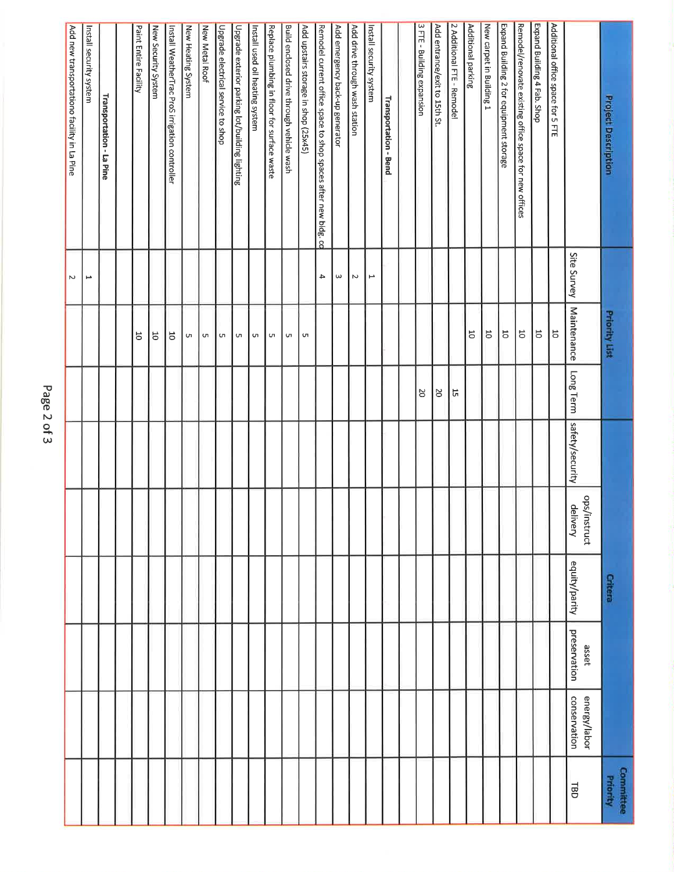| <b>Project Description</b>                                     |                          | <b>Priority List</b>    |           |                 |                          | <b>Critera</b> |                       |                              | Committee<br>Priority |
|----------------------------------------------------------------|--------------------------|-------------------------|-----------|-----------------|--------------------------|----------------|-----------------------|------------------------------|-----------------------|
|                                                                | Site Survey              | <b>Maintenance</b>      | Long Term | safety/security | ops/instruct<br>delivery | equity/parity  | preservation<br>asset | conservation<br>energy/labor | <b>TBD</b>            |
| Additional office space for 5 FTE                              |                          | $\overline{5}$          |           |                 |                          |                |                       |                              |                       |
| Expand Building 4 Fab. Shop                                    |                          | $\overline{\circ}$      |           |                 |                          |                |                       |                              |                       |
| Remodel/renovate existing office space for new offices         |                          | $\overline{\mathbf{c}}$ |           |                 |                          |                |                       |                              |                       |
| Expand Building 2 for equipment storage                        |                          | $\overline{\mathbf{C}}$ |           |                 |                          |                |                       |                              |                       |
| New carpet in Building 1                                       |                          | $\overline{\circ}$      |           |                 |                          |                |                       |                              |                       |
| Additional parking                                             |                          | 5                       |           |                 |                          |                |                       |                              |                       |
| 2 Additional FTE - Remodel                                     |                          |                         | 5         |                 |                          |                |                       |                              |                       |
| Add entrance/exit to 15th St.                                  |                          |                         | <b>DZ</b> |                 |                          |                |                       |                              |                       |
| 3 FTE - Building expansion                                     |                          |                         | <b>DZ</b> |                 |                          |                |                       |                              |                       |
|                                                                |                          |                         |           |                 |                          |                |                       |                              |                       |
| <b>Transportation - Bend</b>                                   |                          |                         |           |                 |                          |                |                       |                              |                       |
| Install security system                                        | ⊢                        |                         |           |                 |                          |                |                       |                              |                       |
| Add drive through wash station                                 | N                        |                         |           |                 |                          |                |                       |                              |                       |
| Add emergency back-up generator                                | $\omega$                 |                         |           |                 |                          |                |                       |                              |                       |
| Remodel current office space to shop spaces after new bidg. cd | 4                        |                         |           |                 |                          |                |                       |                              |                       |
| Add upstairs storage in shop (25x45)                           |                          | $\sigma$                |           |                 |                          |                |                       |                              |                       |
| Build enclosed drive through vehicle wash                      |                          | S                       |           |                 |                          |                |                       |                              |                       |
| Replace plumbing in floor for surface waste                    |                          | G                       |           |                 |                          |                |                       |                              |                       |
| Install used oil heating system                                |                          | C                       |           |                 |                          |                |                       |                              |                       |
| Upgrade exterior parking lot/building lighting                 |                          | C                       |           |                 |                          |                |                       |                              |                       |
| Upgrade electrical service to shop                             |                          | C                       |           |                 |                          |                |                       |                              |                       |
| New Metal Roof                                                 |                          | C                       |           |                 |                          |                |                       |                              |                       |
| New Heating System                                             |                          | C                       |           |                 |                          |                |                       |                              |                       |
| Install WeatherTrac ProS irrigation controller                 |                          | $\overline{5}$          |           |                 |                          |                |                       |                              |                       |
| New Security System                                            |                          | $\overline{5}$          |           |                 |                          |                |                       |                              |                       |
| Paint Entire Facility                                          |                          | 5                       |           |                 |                          |                |                       |                              |                       |
|                                                                |                          |                         |           |                 |                          |                |                       |                              |                       |
| <b>Transportation - La Pine</b>                                |                          |                         |           |                 |                          |                |                       |                              |                       |
| Install security system                                        | $\overline{\phantom{a}}$ |                         |           |                 |                          |                |                       |                              |                       |
| Add new transportationo facility in La Pine                    | $\sim$                   |                         |           |                 |                          |                |                       |                              |                       |

Page 2 of 3